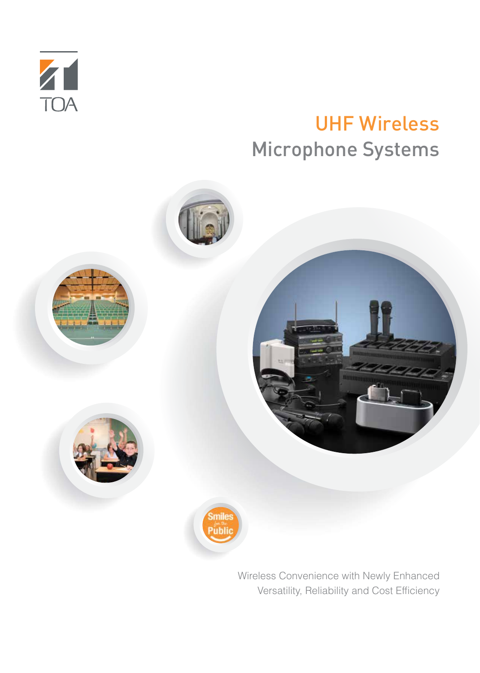

# UHF Wireless Microphone Systems



Wireless Convenience with Newly Enhanced Versatility, Reliability and Cost Efficiency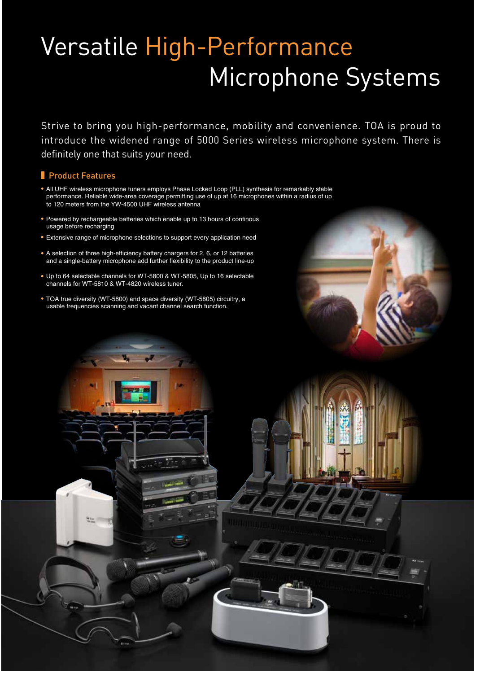# Versatile High-Performance Microphone Systems

Strive to bring you high-performance, mobility and convenience. TOA is proud to introduce the widened range of 5000 Series wireless microphone system. There is definitely one that suits your need.

# **Product Features**

- All UHF wireless microphone tuners employs Phase Locked Loop (PLL) synthesis for remarkably stable performance. Reliable wide-area coverage permitting use of up at 16 microphones within a radius of up to 120 meters from the YW-4500 UHF wireless antenna
- Powered by rechargeable batteries which enable up to 13 hours of continous usage before recharging
- Extensive range of microphone selections to support every application need
- A selection of three high-efficiency battery chargers for 2, 6, or 12 batteries and a single-battery microphone add further flexibility to the product line-up
- Up to 64 selectable channels for WT-5800 & WT-5805, Up to 16 selectable channels for WT-5810 & WT-4820 wireless tuner.
- TOA true diversity (WT-5800) and space diversity (WT-5805) circuitry, a usable frequencies scanning and vacant channel search function.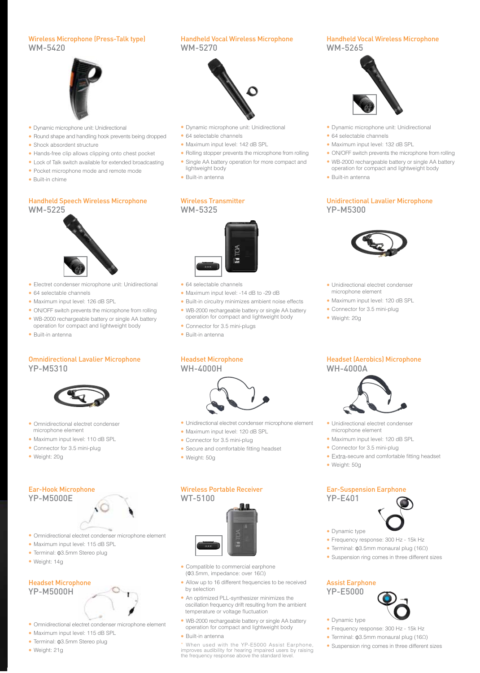#### Wireless Microphone (Press-Talk type) WM-5420



- Dynamic microphone unit: Unidirectional
- Round shape and handling hook prevents being dropped
- Shock absordent structure
- Hands-free clip allows clipping onto chest pocket
- Lock of Talk switch available for extended broadcasting
- Pocket microphone mode and remote mode
- •Built-in chime

#### Handheld Speech Wireless Microphone WM-5225



- Electret condenser microphone unit: Unidirectional
- 64 selectable channels
- Maximum input level: 126 dB SPL
- ON/OFF switch prevents the microphone from rolling
- WB-2000 rechargeable battery or single AA battery
- operation for compact and lightweight body
- Built-in antenna

#### Omnidirectional Lavalier Microphone YP-M5310



- Omnidirectional electret condenser microphone element
- Maximum input level: 110 dB SPL
- Connector for 3.5 mini-plug
- Weight: 20g

# Ear-Hook Microphone

## YP-M5000E



- Omnidirectional electret condenser microphone element
- Maximum input level: 115 dB SPL
- Terminal: Φ3.5mm Stereo plug
- Weight: 14g

#### Headset Microphone YP-M5000H

- Omnidirectional electret condenser microphone element
- Maximum input level: 115 dB SPL
- Terminal: Φ3.5mm Stereo plug
- Weight: 21g

### Handheld Vocal Wireless Microphone WM-5270



- Dynamic microphone unit: Unidirectional
- 64 selectable channels
- Maximum input level: 142 dB SPL
- Rolling stopper prevents the microphone from rolling • Single AA battery operation for more compact and
- lightweight body
- Built-in antenna

#### Wireless Transmitter WM-5325



- 64 selectable channels
- Maximum input level: -14 dB to -29 dB
- Built-in circuitry minimizes ambient noise effects
- WB-2000 rechargeable battery or single AA battery operation for compact and lightweight body
- Connector for 3.5 mini-plugs
- Built-in antenna

#### Headset Microphone WH-4000H



- Unidirectional electret condenser microphone element
- Maximum input level: 120 dB SPL
- Connector for 3.5 mini-plug
- Secure and comfortable fitting headset
- Weight: 50g

#### Wireless Portable Receiver WT-5100



- Compatible to commercial earphone (Φ3.5mm, impedance: over 16Ω)
- Allow up to 16 different frequencies to be received by selection
- An optimized PLL-synthesizer minimizes the oscillation frequency drift resulting from the ambient temperature or voltage fluctuation
- WB-2000 rechargeable battery or single AA battery operation for compact and lightweight body
- Built-in antenna

\* When used with the YP-E5000 Assist Earphone, improves audibility for hearing impaired users by raising the frequency response above the standard level.

#### Handheld Vocal Wireless Microphone WM-5265



- Dynamic microphone unit: Unidirectional
- 64 selectable channels
- Maximum input level: 132 dB SPL
- ON/OFF switch prevents the microphone from rolling
- WB-2000 rechargeable battery or single AA battery
- operation for compact and lightweight body • Built-in antenna
- 

#### Unidirectional Lavalier Microphone YP-M5300



- Unidirectional electret condenser microphone element
- Maximum input level: 120 dB SPL
- Connector for 3.5 mini-plug
- Weight: 20g

#### Headset (Aerobics) Microphone WH-4000A



- Unidirectional electret condenser microphone element
- Maximum input level: 120 dB SPL
- Connector for 3.5 mini-plug
- •Extra-secure and comfortable fitting headset
- Weight: 50g

#### Ear-Suspension Earphone YP-E401

- Dynamic type
- Frequency response: 300 Hz 15k Hz
- Terminal: Φ3.5mm monaural plug (16Ω)
- Suspension ring comes in three different sizes

#### Assist Earphone

YP-E5000



- Dynamic type
- Frequency response: 300 Hz 15k Hz • Terminal: Φ3.5mm monaural plug (16Ω)

• Suspension ring comes in three different sizes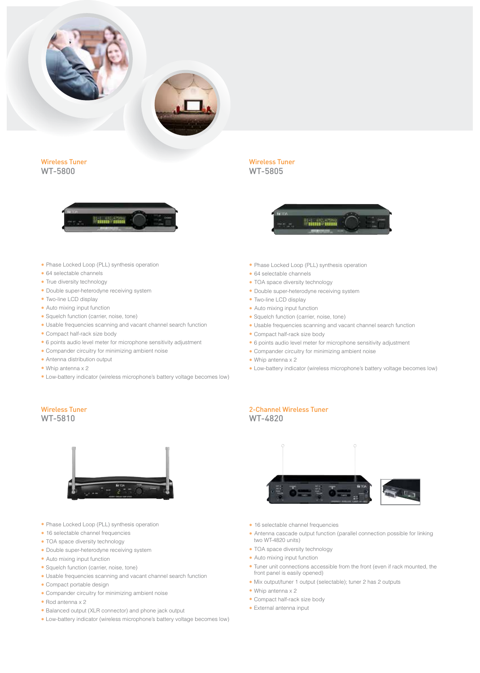

Wireless Tuner WT-5800



Wireless Tuner WT-5805



- Phase Locked Loop (PLL) synthesis operation
- 64 selectable channels
- True diversity technology
- Double super-heterodyne receiving system
- Two-line LCD display
- Auto mixing input function
- Squelch function (carrier, noise, tone)
- •Usable frequencies scanning and vacant channel search function
- •Compact half-rack size body
- •6 points audio level meter for microphone sensitivity adjustment
- •Compander circuitry for minimizing ambient noise
- •Antenna distribution output
- Whip antenna x 2
- •Low-battery indicator (wireless microphone's battery voltage becomes low)

#### Wireless Tuner WT-5810



- Phase Locked Loop (PLL) synthesis operation
- 16 selectable channel frequencies
- TOA space diversity technology
- Double super-heterodyne receiving system
- Auto mixing input function
- •Squelch function (carrier, noise, tone)
- •Usable frequencies scanning and vacant channel search function
- •Compact portable design
- •Compander circuitry for minimizing ambient noise
- Rod antenna x 2
- •Balanced output (XLR connector) and phone jack output
- •Low-battery indicator (wireless microphone's battery voltage becomes low)
- Phase Locked Loop (PLL) synthesis operation
- 64 selectable channels
- TOA space diversity technology
- Double super-heterodyne receiving system
- Two-line LCD display
- Auto mixing input function
- •Squelch function (carrier, noise, tone)
- •Usable frequencies scanning and vacant channel search function
- •Compact half-rack size body
- •6 points audio level meter for microphone sensitivity adjustment
- •Compander circuitry for minimizing ambient noise
- Whip antenna x 2
- •Low-battery indicator (wireless microphone's battery voltage becomes low)

#### 2-Channel Wireless Tuner WT-4820



- 16 selectable channel frequencies
- Antenna cascade output function (parallel connection possible for linking two WT-4820 units)
- TOA space diversity technology
- Auto mixing input function
- •Tuner unit connections accessible from the front (even if rack mounted, the front panel is easily opened)
- •Mix output/tuner 1 output (selectable); tuner 2 has 2 outputs
- Whip antenna x 2
- •Compact half-rack size body
- •External antenna input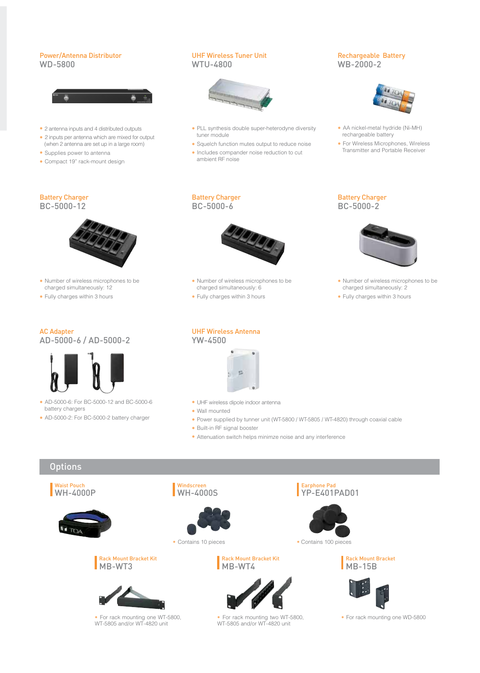#### Power/Antenna Distributor WD-5800



- 2 antenna inputs and 4 distributed outputs
- 2 inputs per antenna which are mixed for output (when 2 antenna are set up in a large room)
- Supplies power to antenna
- Compact 19" rack-mount design

#### UHF Wireless Tuner Unit WTU-4800



- PLL synthesis double super-heterodyne diversity tuner module
- Squelch function mutes output to reduce noise
- Includes compander noise reduction to cut ambient RF noise

#### Rechargeable Battery WB-2000-2



- AA nickel-metal hydride (Ni-MH) rechargeable battery
- For Wireless Microphones, Wireless Transmitter and Portable Receiver

# Battery Charger

BC-5000-12



- Number of wireless microphones to be charged simultaneously: 12
- Fully charges within 3 hours

# AC Adapter





- AD-5000-6: For BC-5000-12 and BC-5000-6 battery chargers
- AD-5000-2: For BC-5000-2 battery charger



- Number of wireless microphones to be charged simultaneously: 6
- Fully charges within 3 hours

Battery Charger BC-5000-6

#### UHF Wireless Antenna YW-4500



- UHF wireless dipole indoor antenna
- Wall mounted
- Power supplied by tunner unit (WT-5800 / WT-5805 / WT-4820) through coaxial cable
- Built-in RF signal booster
- Attenuation switch helps minimze noise and any interference

# **Options**









• For rack mounting one WT-5800, WT-5805 and/or WT-4820 unit



**Windscreen** 

• Contains 10 pieces • Contains 100 pieces

#### Rack Mount Bracket Kit MB-WT4



• For rack mounting two WT-5800, WT-5805 and/or WT-4820 unit

#### Battery Charger BC-5000-2



- Number of wireless microphones to be charged simultaneously: 2
- Fully charges within 3 hours

YP-E401PAD01

Earphone Pad



Rack Mount Bracket





• For rack mounting one WD-5800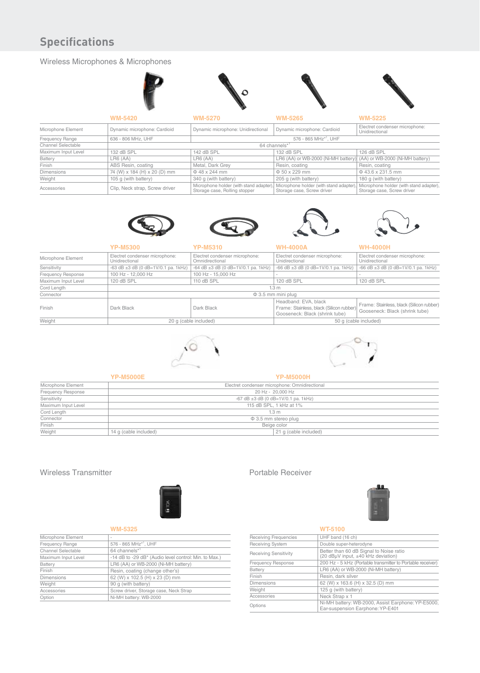# **Specifications**

### Wireless Microphones & Microphones

|                     | <b>WM-5420</b>                                          | <b>WM-5270</b>                                                          | <b>WM-5265</b>                                                       | <b>WM-5225</b>                                                        |
|---------------------|---------------------------------------------------------|-------------------------------------------------------------------------|----------------------------------------------------------------------|-----------------------------------------------------------------------|
| Microphone Element  | Dynamic microphone: Cardioid                            | Dynamic microphone: Unidirectional                                      | Dynamic microphone: Cardioid                                         | Electret condenser microphone:<br>Unidirectional                      |
| Frequency Range     | 576 - 865 MHz <sup>*1</sup> , UHF<br>636 - 806 MHz, UHF |                                                                         |                                                                      |                                                                       |
| Channel Selectable  |                                                         | 64 channels*1                                                           |                                                                      |                                                                       |
| Maximum Input Level | 132 dB SPL                                              | 142 dB SPL                                                              | 132 dB SPL                                                           | 126 dB SPL                                                            |
| Battery             | LR6 (AA)                                                | $L$ R <sub>6</sub> $(A$ A $)$                                           | LR6 (AA) or WB-2000 (Ni-MH battery)                                  | (AA) or WB-2000 (Ni-MH battery)                                       |
| Finish              | ABS Resin, coating                                      | Metal, Dark Grey                                                        | Resin, coating                                                       | Resin, coating                                                        |
| <b>Dimensions</b>   | 74 (W) x 184 (H) x 20 (D) mm                            | $\Phi$ 48 x 244 mm                                                      | $\Phi$ 50 x 229 mm                                                   | $\Phi$ 43.6 x 231.5 mm                                                |
| Weight              | 105 g (with battery)                                    | 340 q (with battery)                                                    | 205 q (with battery)                                                 | 180 q (with battery)                                                  |
| Accessories         | Clip, Neck strap, Screw driver                          | Microphone holder (with stand adapter)<br>Storage case, Rolling stopper | Microphone holder (with stand adapter)<br>Storage case, Screw driver | Microphone holder (with stand adapter),<br>Storage case, Screw driver |









|                     | <b>YP-M5300</b>                                                                          | <b>YP-M5310</b>                                   | <b>WH-4000A</b>                                                                                    | <b>WH-4000H</b>                                                            |
|---------------------|------------------------------------------------------------------------------------------|---------------------------------------------------|----------------------------------------------------------------------------------------------------|----------------------------------------------------------------------------|
| Microphone Element  | Electret condenser microphone:<br>Unidirectional                                         | Electret condenser microphone:<br>Omnidirectional | Electret condenser microphone:<br>Unidirectional                                                   | Electret condenser microphone:<br>Unidirectional                           |
| Sensitivity         | $-63$ dB $\pm 3$ dB (0 dB=1V/0.1 pa. 1kHz)<br>$-64$ dB $\pm 3$ dB (0 dB=1V/0.1 pa. 1kHz) |                                                   | $-66$ dB $\pm 3$ dB (0 dB=1V/0.1 pa. 1kHz)                                                         | $-66$ dB $\pm 3$ dB (0 dB=1V/0.1 pa. 1kHz)                                 |
| Frequency Response  | 100 Hz - 12,000 Hz                                                                       | 100 Hz - 15,000 Hz                                |                                                                                                    |                                                                            |
| Maximum Input Level | 120 dB SPL                                                                               | 110 dB SPL                                        | 120 dB SPL                                                                                         | 120 dB SPL                                                                 |
| Cord Length         | 1.3 <sub>m</sub>                                                                         |                                                   |                                                                                                    |                                                                            |
| Connector           | $\Phi$ 3.5 mm mini plug                                                                  |                                                   |                                                                                                    |                                                                            |
| Finish              | Dark Black                                                                               | Dark Black                                        | Headband: EVA, black<br>Frame: Stainless, black (Silicon rubber)<br>Gooseneck: Black (shrink tube) | Frame: Stainless, black (Silicon rubber)<br>Gooseneck: Black (shrink tube) |
| Weight              | 20 q (cable included)                                                                    |                                                   |                                                                                                    | 50 g (cable included)                                                      |





| <b>YP-M5000E</b><br><b>YP-M5000H</b> |                       |                                                |  |  |
|--------------------------------------|-----------------------|------------------------------------------------|--|--|
| Microphone Element                   |                       | Electret condenser microphone: Omnidirectional |  |  |
| Frequency Response                   |                       | 20 Hz - 20,000 Hz                              |  |  |
| Sensitivity                          |                       | $-67$ dB $\pm 3$ dB (0 dB=1V/0.1 pa. 1kHz)     |  |  |
| Maximum Input Level                  |                       | 115 dB SPL, 1 kHz at 1%                        |  |  |
| Cord Length                          |                       | 1.3 <sub>m</sub>                               |  |  |
| Connector                            |                       | $\Phi$ 3.5 mm stereo plug                      |  |  |
| Finish                               |                       | Beige color                                    |  |  |
| Weight                               | 14 g (cable included) | 21 g (cable included)                          |  |  |

#### Wireless Transmitter



| ___ |  |
|-----|--|

| Microphone Element               | $\overline{\phantom{a}}$                              |
|----------------------------------|-------------------------------------------------------|
| Frequency Range                  | 576 - 865 MHz <sup>*1</sup> , UHF                     |
| Channel Selectable               | 64 channels <sup>*1</sup>                             |
| Maximum Input Level              | -14 dB to -29 dB* (Audio level control: Min. to Max.) |
| Battery                          | LR6 (AA) or WB-2000 (Ni-MH battery)                   |
| Finish                           | Resin, coating (change other's)                       |
| <b>Dimensions</b>                | 62 (W) x 102.5 (H) x 23 (D) mm                        |
| Weight                           | 90 q (with battery)                                   |
| Accessories                      | Screw driver, Storage case, Neck Strap                |
| Ni-MH battery: WB-2000<br>Option |                                                       |
|                                  |                                                       |

#### Portable Receiver



#### **WT-5100**<br>UHF band (16 ch) Receiving Frequencies<br>
Receiving System Double super-heterodyne Receiving Sensitivity **Better than 60 dB Signal to Noise ratio**<br>(20 dBµV input, ±40 kHz deviation) Frequency Response 200 Hz - 5 kHz (Portable transmitter to Portable receiver) Battery LR6 (AA) or WB-2000 (Ni-MH battery)<br>Finish Resin, dark silver<br>Dimensions 62 (W) x 163.6 (H) x 32.5 (D) mm Resin, dark silver Dimensions 62 (W) x 163.6 (H) x 32.5 (D) mm<br>Weight 125 g (with battery)  $125 g$  (with battery) Accessories Neck Strap x 1 Ni-MH battery: WB-2000, Assist Earphone: YP-E5000,<br>Ear-suspension Earphone: YP-E401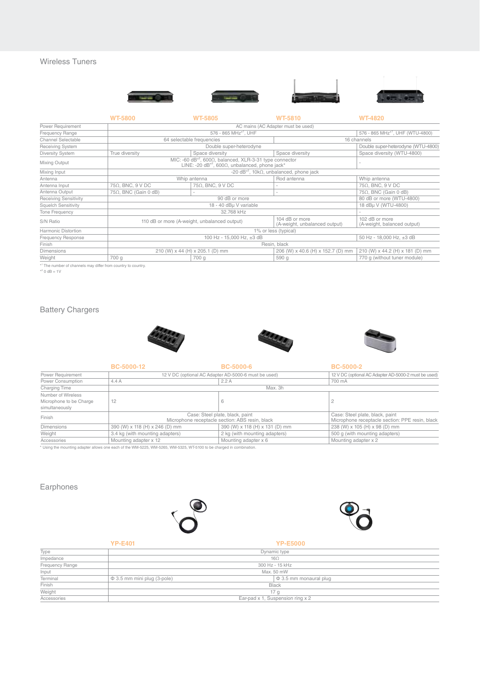### Wireless Tuners





|                              | <b>WT-5800</b>                                                                                                                      | <b>WT-5805</b>                    | <b>WT-5810</b>                                  | <b>WT-4820</b>                                |
|------------------------------|-------------------------------------------------------------------------------------------------------------------------------------|-----------------------------------|-------------------------------------------------|-----------------------------------------------|
| Power Requirement            | AC mains (AC Adapter must be used)                                                                                                  |                                   |                                                 |                                               |
| Frequency Range              |                                                                                                                                     | 576 - 865 MHz <sup>*1</sup> , UHF |                                                 | 576 - 865 MHz <sup>*1</sup> , UHF (WTU-4800)  |
| Channel Selectable           |                                                                                                                                     | 64 selectable frequencies         |                                                 | 16 channels                                   |
| <b>Receiving System</b>      | Double super-heterodyne                                                                                                             |                                   |                                                 | Double super-heterodyne (WTU-4800)            |
| Diversity System             | True diversity                                                                                                                      | Space diversity                   | Space diversity                                 | Space diversity (WTU-4800)                    |
| Mixing Output                | MIC: -60 dB <sup>*2</sup> , 600Ω, balanced, XLR-3-31 type connector<br>LINE: -20 $dB^{*2}$ , 600 $\Omega$ , unbalanced, phone jack* |                                   |                                                 |                                               |
| Mixing Input                 | -20 dB <sup>*2</sup> , 10k $\Omega$ , unbalanced, phone jack                                                                        |                                   |                                                 |                                               |
| Antenna                      | Whip antenna                                                                                                                        |                                   | Rod antenna                                     | Whip antenna                                  |
| Antenna Input                | 75Ω, BNC, 9 V DC                                                                                                                    | 75Ω, BNC, 9 V DC                  |                                                 | $75\Omega$ , BNC, 9 V DC                      |
| Antenna Output               | $75\Omega$ , BNC (Gain 0 dB)                                                                                                        |                                   | $\overline{\phantom{a}}$                        | $75\Omega$ , BNC (Gain 0 dB)                  |
| <b>Receiving Sensitivity</b> | 90 dB or more                                                                                                                       |                                   |                                                 | 80 dB or more (WTU-4800)                      |
| <b>Squelch Sensitivity</b>   | 18 - 40 dBµ V variable                                                                                                              |                                   |                                                 | 18 dBµ V (WTU-4800)                           |
| Tone Frequency               | 32.768 kHz                                                                                                                          |                                   |                                                 |                                               |
| S/N Ratio                    | 110 dB or more (A-weight, unbalanced output)                                                                                        |                                   | 104 dB or more<br>(A-weight, unbalanced output) | 102 dB or more<br>(A-weight, balanced output) |
| Harmonic Distortion          | 1% or less (typical)                                                                                                                |                                   |                                                 |                                               |
| <b>Frequency Response</b>    | 100 Hz - 15,000 Hz, ±3 dB                                                                                                           |                                   | 50 Hz - 18,000 Hz, ±3 dB                        |                                               |
| Finish                       | Resin, black                                                                                                                        |                                   |                                                 |                                               |
| <b>Dimensions</b>            |                                                                                                                                     | 210 (W) x 44 (H) x 205.1 (D) mm   | 206 (W) x 40.6 (H) x 152.7 (D) mm               | 210 (W) x 44.2 (H) x 181 (D) mm               |
| Weight                       | 700 g                                                                                                                               | 700 g                             | 590 g                                           | 770 g (without tuner module)                  |

\*<sup>1</sup> The number of channels may differ from country to country.<br><sup>\*2</sup> 0 dB = 1V

# Battery Chargers







|                                                                 | <b>BC-5000-12</b>                                                                                                 | <b>BC-5000-6</b>               | <b>BC-5000-2</b>                                                                   |
|-----------------------------------------------------------------|-------------------------------------------------------------------------------------------------------------------|--------------------------------|------------------------------------------------------------------------------------|
| Power Requirement                                               | 12 V DC (optional AC Adapter AD-5000-6 must be used)                                                              |                                | 12 V DC (optional AC Adapter AD-5000-2 must be used)                               |
| Power Consumption                                               | 4.4 A                                                                                                             | 2.2A                           |                                                                                    |
| Charging Time                                                   | Max. 3h                                                                                                           |                                |                                                                                    |
| Number of Wireless<br>Microphone to be Charge<br>simultaneously | 12<br>6                                                                                                           |                                |                                                                                    |
| Finish                                                          | Case: Steel plate, black, paint<br>Microphone receptacle section: ABS resin, black                                |                                | Case: Steel plate, black, paint<br>Microphone receptacle section: PPE resin, black |
| <b>Dimensions</b>                                               | 390 (W) x 118 (H) x 246 (D) mm                                                                                    | 390 (W) x 118 (H) x 131 (D) mm | 238 (W) x 105 (H) x 98 (D) mm                                                      |
| Weight                                                          | 3.4 kg (with mounting adapters)                                                                                   | 2 kg (with mounting adapters)  | 500 g (with mounting adapters)                                                     |
| Accessories                                                     | Mounting adapter x 12<br>Mounting adapter x 6                                                                     |                                | Mounting adapter x 2                                                               |
|                                                                 | * Lising the mounting adapter allows one each of the WM-5225 WM-5265 WM-5325 WT-5100 to be charged in combination |                                |                                                                                    |

\* Using the mounting adapter allows one each of the WM-5225, WM-5265, WM-5325, WT-5100 to be charged in combination.

# Earphones





|                 | <b>YP-E401</b><br><b>YP-E5000</b> |                                  |  |  |
|-----------------|-----------------------------------|----------------------------------|--|--|
| Type            |                                   | Dynamic type                     |  |  |
| Impedance       |                                   | $16\Omega$                       |  |  |
| Frequency Range |                                   | 300 Hz - 15 kHz                  |  |  |
| Input           |                                   | Max. 50 mW                       |  |  |
| Terminal        | $\Phi$ 3.5 mm mini plug (3-pole)  | $\phi$ 3.5 mm monaural plug      |  |  |
| Finish          |                                   | <b>Black</b>                     |  |  |
| Weight          |                                   | 17 <sub>q</sub>                  |  |  |
| Accessories     |                                   | Ear-pad x 1, Suspension ring x 2 |  |  |